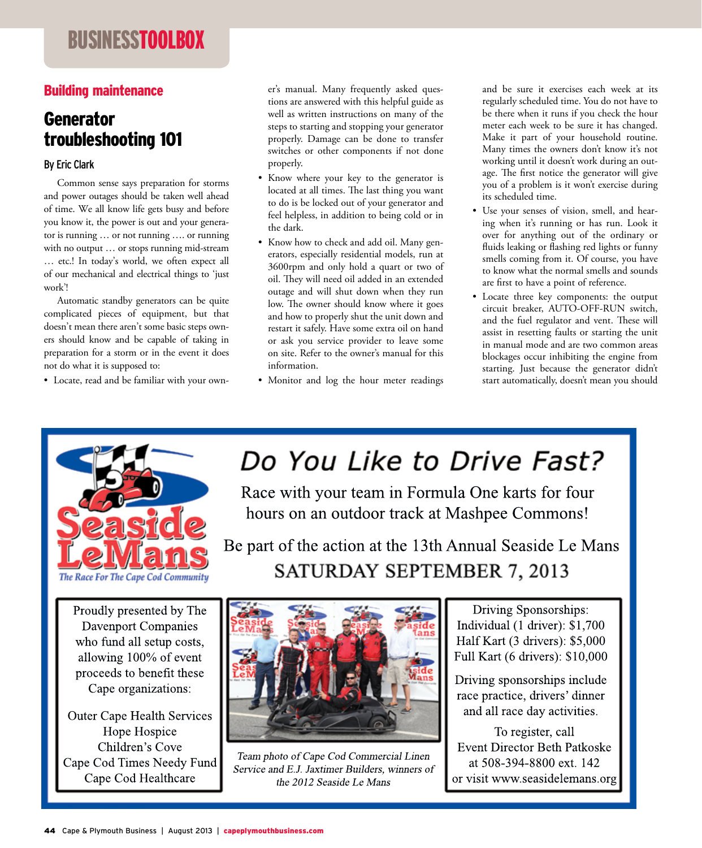## businesstoolbox

### Building maintenance

## Generator troubleshooting 101

#### By Eric Clark

 Common sense says preparation for storms and power outages should be taken well ahead of time. We all know life gets busy and before you know it, the power is out and your generator is running … or not running …. or running with no output … or stops running mid-stream … etc.! In today's world, we often expect all of our mechanical and electrical things to 'just work'!

 Automatic standby generators can be quite complicated pieces of equipment, but that doesn't mean there aren't some basic steps owners should know and be capable of taking in preparation for a storm or in the event it does not do what it is supposed to:

• Locate, read and be familiar with your own-

er's manual. Many frequently asked questions are answered with this helpful guide as well as written instructions on many of the steps to starting and stopping your generator properly. Damage can be done to transfer switches or other components if not done properly.

- Know where your key to the generator is located at all times. The last thing you want to do is be locked out of your generator and feel helpless, in addition to being cold or in the dark.
- Know how to check and add oil. Many generators, especially residential models, run at 3600rpm and only hold a quart or two of oil. They will need oil added in an extended outage and will shut down when they run low. The owner should know where it goes and how to properly shut the unit down and restart it safely. Have some extra oil on hand or ask you service provider to leave some on site. Refer to the owner's manual for this information.
- Monitor and log the hour meter readings

and be sure it exercises each week at its regularly scheduled time. You do not have to be there when it runs if you check the hour meter each week to be sure it has changed. Make it part of your household routine. Many times the owners don't know it's not working until it doesn't work during an outage. The first notice the generator will give you of a problem is it won't exercise during its scheduled time.

- Use your senses of vision, smell, and hearing when it's running or has run. Look it over for anything out of the ordinary or fluids leaking or flashing red lights or funny smells coming from it. Of course, you have to know what the normal smells and sounds are first to have a point of reference.
- Locate three key components: the output circuit breaker, AUTO-OFF-RUN switch, and the fuel regulator and vent. These will assist in resetting faults or starting the unit in manual mode and are two common areas blockages occur inhibiting the engine from starting. Just because the generator didn't start automatically, doesn't mean you should



# Do You Like to Drive Fast?

Race with your team in Formula One karts for four hours on an outdoor track at Mashpee Commons!

Be part of the action at the 13th Annual Seaside Le Mans SATURDAY SEPTEMBER 7, 2013

Proudly presented by The **Davenport Companies** who fund all setup costs, allowing 100% of event proceeds to benefit these Cape organizations:

**Outer Cape Health Services** Hope Hospice Children's Cove Cape Cod Times Needy Fund Cape Cod Healthcare



Team photo of Cape Cod Commercial Linen Service and E.J. Jaxtimer Builders, winners of the 2012 Seaside Le Mans

Driving Sponsorships: Individual (1 driver): \$1,700 Half Kart (3 drivers): \$5,000 Full Kart (6 drivers): \$10,000

Driving sponsorships include race practice, drivers' dinner and all race day activities.

To register, call **Event Director Beth Patkoske** at 508-394-8800 ext. 142 or visit www.seasidelemans.org